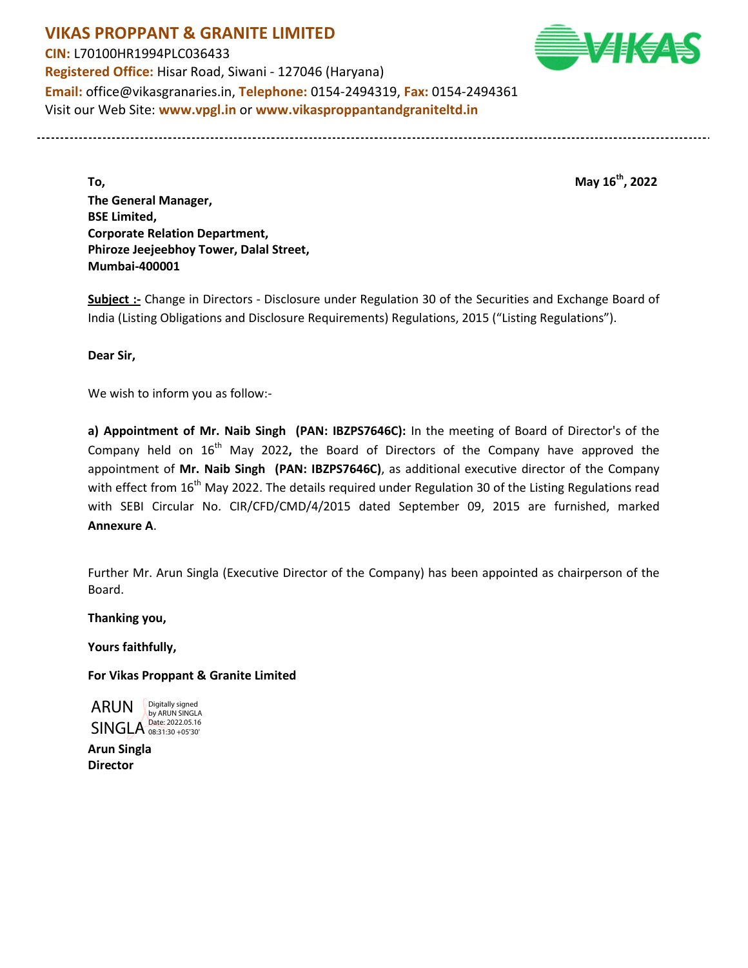**VIKAS PROPPANT & GRANITE LIMITED CIN:** L70100HR1994PLC036433 **Registered Office:** Hisar Road, Siwani - 127046 (Haryana) **Email:** office@vikasgranaries.in, **Telephone:** 0154-2494319, **Fax:** 0154-2494361 Visit our Web Site: **www.vpgl.in** or **www.vikasproppantandgraniteltd.in**

**To, May 16th, 2022 The General Manager, BSE Limited, Corporate Relation Department, Phiroze Jeejeebhoy Tower, Dalal Street, Mumbai-400001** 

**Subject :-** Change in Directors - Disclosure under Regulation 30 of the Securities and Exchange Board of India (Listing Obligations and Disclosure Requirements) Regulations, 2015 ("Listing Regulations").

**Dear Sir,** 

We wish to inform you as follow:-

**a) Appointment of Mr. Naib Singh (PAN: IBZPS7646C):** In the meeting of Board of Director's of the Company held on 16th May 2022**,** the Board of Directors of the Company have approved the appointment of **Mr. Naib Singh (PAN: IBZPS7646C)**, as additional executive director of the Company with effect from 16<sup>th</sup> May 2022. The details required under Regulation 30 of the Listing Regulations read with SEBI Circular No. CIR/CFD/CMD/4/2015 dated September 09, 2015 are furnished, marked **Annexure A**.

Further Mr. Arun Singla (Executive Director of the Company) has been appointed as chairperson of the Board.

**Thanking you,** 

**Yours faithfully,** 

**For Vikas Proppant & Granite Limited** 

ARUN SINGLA Date: 2022.05.16 Digitally signed by ARUN SINGLA

**Arun Singla Director**